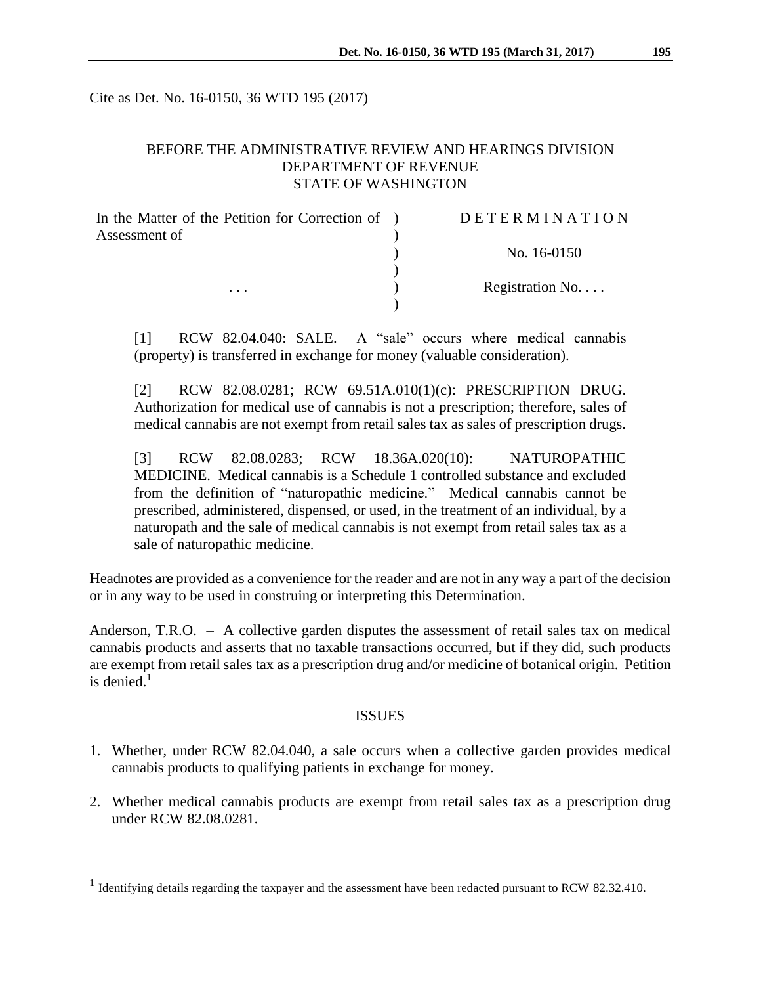Cite as Det. No. 16-0150, 36 WTD 195 (2017)

## BEFORE THE ADMINISTRATIVE REVIEW AND HEARINGS DIVISION DEPARTMENT OF REVENUE STATE OF WASHINGTON

| In the Matter of the Petition for Correction of ) | <b>DETERMINATION</b>     |
|---------------------------------------------------|--------------------------|
| Assessment of                                     |                          |
|                                                   | No. 16-0150              |
|                                                   |                          |
| .                                                 | Registration No. $\dots$ |
|                                                   |                          |

[1] RCW 82.04.040: SALE. A "sale" occurs where medical cannabis (property) is transferred in exchange for money (valuable consideration).

[2] RCW 82.08.0281; RCW 69.51A.010(1)(c): PRESCRIPTION DRUG. Authorization for medical use of cannabis is not a prescription; therefore, sales of medical cannabis are not exempt from retail sales tax as sales of prescription drugs.

[3] RCW 82.08.0283; RCW 18.36A.020(10): NATUROPATHIC MEDICINE. Medical cannabis is a Schedule 1 controlled substance and excluded from the definition of "naturopathic medicine." Medical cannabis cannot be prescribed, administered, dispensed, or used, in the treatment of an individual, by a naturopath and the sale of medical cannabis is not exempt from retail sales tax as a sale of naturopathic medicine.

Headnotes are provided as a convenience for the reader and are not in any way a part of the decision or in any way to be used in construing or interpreting this Determination.

Anderson, T.R.O. – A collective garden disputes the assessment of retail sales tax on medical cannabis products and asserts that no taxable transactions occurred, but if they did, such products are exempt from retail sales tax as a prescription drug and/or medicine of botanical origin. Petition is denied. $<sup>1</sup>$ </sup>

#### ISSUES

- 1. Whether, under RCW 82.04.040, a sale occurs when a collective garden provides medical cannabis products to qualifying patients in exchange for money.
- 2. Whether medical cannabis products are exempt from retail sales tax as a prescription drug under RCW 82.08.0281.

 $\overline{a}$ 

<sup>&</sup>lt;sup>1</sup> Identifying details regarding the taxpayer and the assessment have been redacted pursuant to RCW 82.32.410.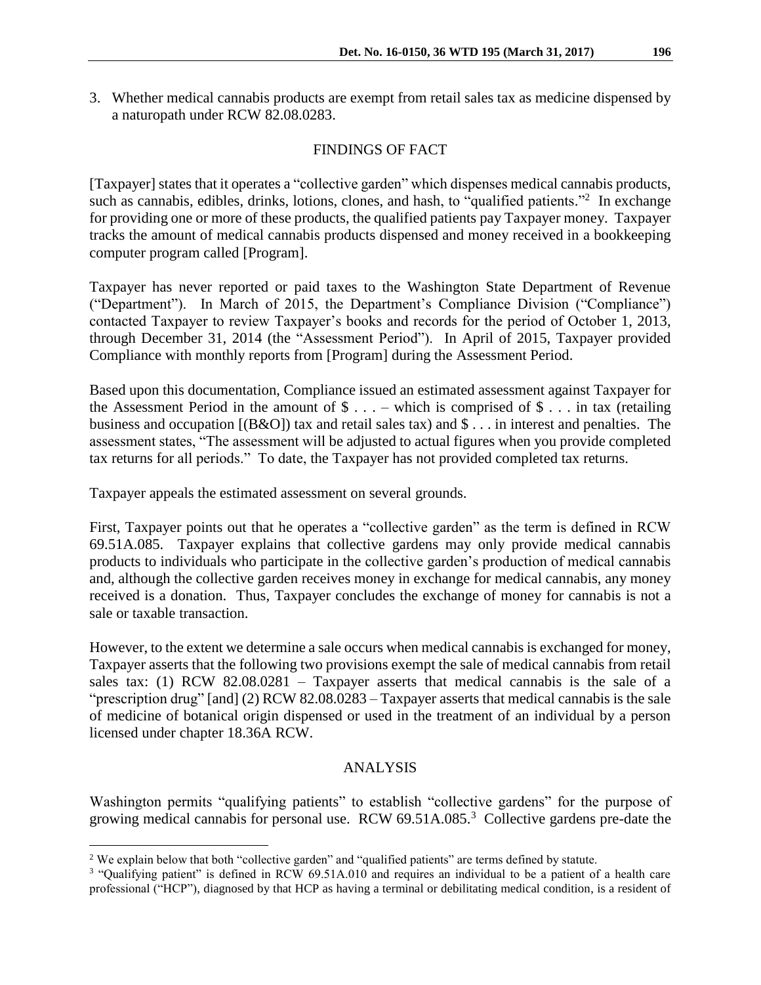3. Whether medical cannabis products are exempt from retail sales tax as medicine dispensed by a naturopath under RCW 82.08.0283.

## FINDINGS OF FACT

[Taxpayer] states that it operates a "collective garden" which dispenses medical cannabis products, such as cannabis, edibles, drinks, lotions, clones, and hash, to "qualified patients."<sup>2</sup> In exchange for providing one or more of these products, the qualified patients pay Taxpayer money. Taxpayer tracks the amount of medical cannabis products dispensed and money received in a bookkeeping computer program called [Program].

Taxpayer has never reported or paid taxes to the Washington State Department of Revenue ("Department"). In March of 2015, the Department's Compliance Division ("Compliance") contacted Taxpayer to review Taxpayer's books and records for the period of October 1, 2013, through December 31, 2014 (the "Assessment Period"). In April of 2015, Taxpayer provided Compliance with monthly reports from [Program] during the Assessment Period.

Based upon this documentation, Compliance issued an estimated assessment against Taxpayer for the Assessment Period in the amount of  $\$\ldots$  – which is comprised of  $\$\ldots$  in tax (retailing business and occupation [(B&O]) tax and retail sales tax) and \$ . . . in interest and penalties. The assessment states, "The assessment will be adjusted to actual figures when you provide completed tax returns for all periods." To date, the Taxpayer has not provided completed tax returns.

Taxpayer appeals the estimated assessment on several grounds.

First, Taxpayer points out that he operates a "collective garden" as the term is defined in RCW 69.51A.085. Taxpayer explains that collective gardens may only provide medical cannabis products to individuals who participate in the collective garden's production of medical cannabis and, although the collective garden receives money in exchange for medical cannabis, any money received is a donation. Thus, Taxpayer concludes the exchange of money for cannabis is not a sale or taxable transaction.

However, to the extent we determine a sale occurs when medical cannabis is exchanged for money, Taxpayer asserts that the following two provisions exempt the sale of medical cannabis from retail sales tax: (1) RCW  $82.08.0281$  – Taxpayer asserts that medical cannabis is the sale of a "prescription drug" [and] (2) RCW 82.08.0283 – Taxpayer asserts that medical cannabis is the sale of medicine of botanical origin dispensed or used in the treatment of an individual by a person licensed under chapter 18.36A RCW.

## ANALYSIS

Washington permits "qualifying patients" to establish "collective gardens" for the purpose of growing medical cannabis for personal use. RCW  $69.51A.085$ <sup>3</sup> Collective gardens pre-date the

 $\overline{a}$ 

<sup>2</sup> We explain below that both "collective garden" and "qualified patients" are terms defined by statute.

<sup>&</sup>lt;sup>3</sup> "Qualifying patient" is defined in RCW 69.51A.010 and requires an individual to be a patient of a health care professional ("HCP"), diagnosed by that HCP as having a terminal or debilitating medical condition, is a resident of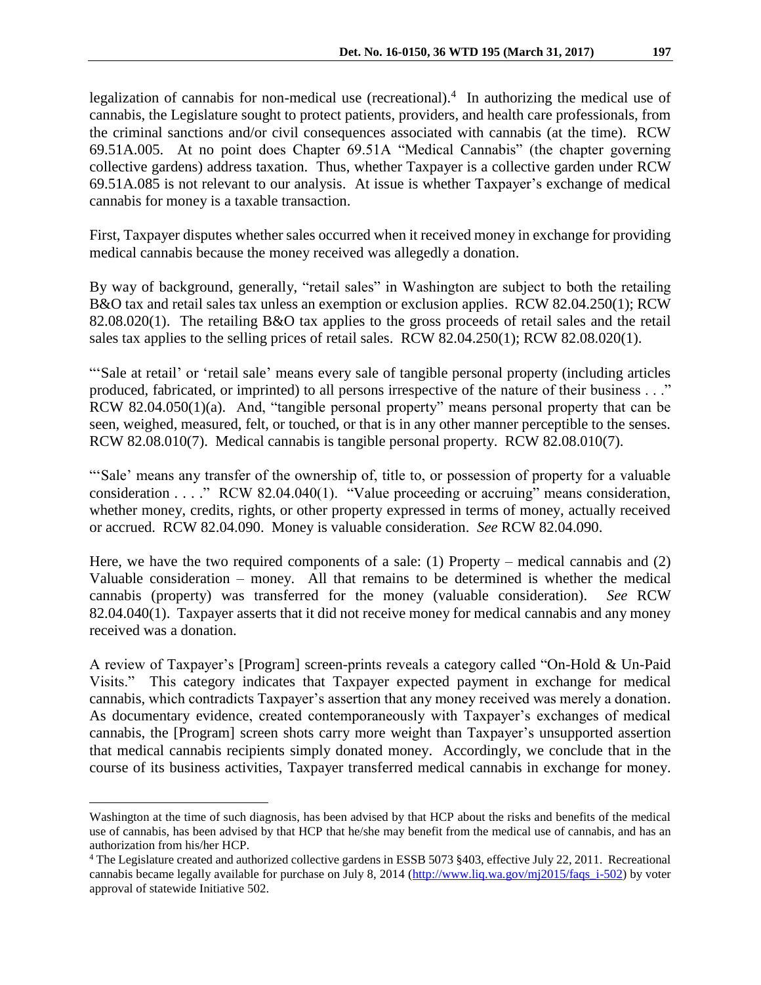legalization of cannabis for non-medical use (recreational).<sup>4</sup> In authorizing the medical use of cannabis, the Legislature sought to protect patients, providers, and health care professionals, from the criminal sanctions and/or civil consequences associated with cannabis (at the time). RCW 69.51A.005. At no point does Chapter 69.51A "Medical Cannabis" (the chapter governing collective gardens) address taxation. Thus, whether Taxpayer is a collective garden under RCW 69.51A.085 is not relevant to our analysis. At issue is whether Taxpayer's exchange of medical cannabis for money is a taxable transaction.

First, Taxpayer disputes whether sales occurred when it received money in exchange for providing medical cannabis because the money received was allegedly a donation.

By way of background, generally, "retail sales" in Washington are subject to both the retailing B&O tax and retail sales tax unless an exemption or exclusion applies. RCW 82.04.250(1); RCW 82.08.020(1). The retailing B&O tax applies to the gross proceeds of retail sales and the retail sales tax applies to the selling prices of retail sales. RCW 82.04.250(1); RCW 82.08.020(1).

"'Sale at retail' or 'retail sale' means every sale of tangible personal property (including articles produced, fabricated, or imprinted) to all persons irrespective of the nature of their business . . ." RCW 82.04.050(1)(a). And, "tangible personal property" means personal property that can be seen, weighed, measured, felt, or touched, or that is in any other manner perceptible to the senses. RCW 82.08.010(7). Medical cannabis is tangible personal property. RCW 82.08.010(7).

"'Sale' means any transfer of the ownership of, title to, or possession of property for a valuable consideration . . . ." RCW 82.04.040(1). "Value proceeding or accruing" means consideration, whether money, credits, rights, or other property expressed in terms of money, actually received or accrued. RCW 82.04.090. Money is valuable consideration. *See* RCW 82.04.090.

Here, we have the two required components of a sale: (1) Property – medical cannabis and (2) Valuable consideration – money. All that remains to be determined is whether the medical cannabis (property) was transferred for the money (valuable consideration). *See* RCW 82.04.040(1). Taxpayer asserts that it did not receive money for medical cannabis and any money received was a donation.

A review of Taxpayer's [Program] screen-prints reveals a category called "On-Hold & Un-Paid Visits." This category indicates that Taxpayer expected payment in exchange for medical cannabis, which contradicts Taxpayer's assertion that any money received was merely a donation. As documentary evidence, created contemporaneously with Taxpayer's exchanges of medical cannabis, the [Program] screen shots carry more weight than Taxpayer's unsupported assertion that medical cannabis recipients simply donated money. Accordingly, we conclude that in the course of its business activities, Taxpayer transferred medical cannabis in exchange for money.

 $\overline{a}$ 

Washington at the time of such diagnosis, has been advised by that HCP about the risks and benefits of the medical use of cannabis, has been advised by that HCP that he/she may benefit from the medical use of cannabis, and has an authorization from his/her HCP.

<sup>4</sup> The Legislature created and authorized collective gardens in ESSB 5073 §403, effective July 22, 2011. Recreational cannabis became legally available for purchase on July 8, 2014 [\(http://www.liq.wa.gov/mj2015/faqs\\_i-502\)](http://www.liq.wa.gov/mj2015/faqs_i-502) by voter approval of statewide Initiative 502.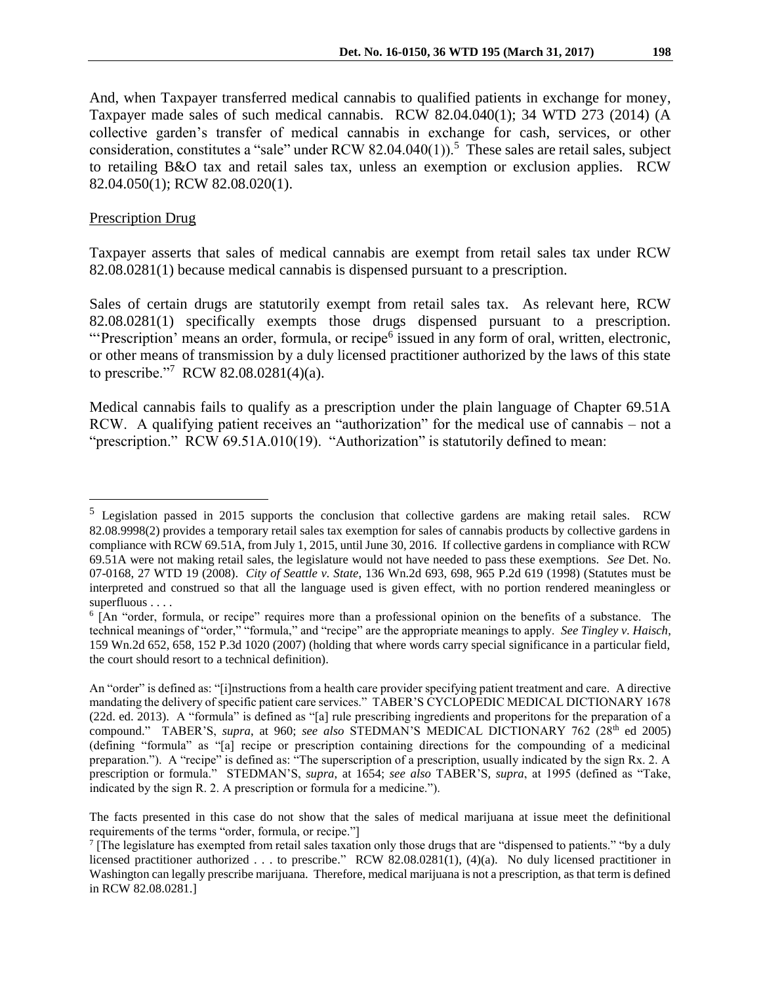And, when Taxpayer transferred medical cannabis to qualified patients in exchange for money, Taxpayer made sales of such medical cannabis. RCW 82.04.040(1); 34 WTD 273 (2014) (A collective garden's transfer of medical cannabis in exchange for cash, services, or other consideration, constitutes a "sale" under RCW 82.04.040(1)).<sup>5</sup> These sales are retail sales, subject to retailing B&O tax and retail sales tax, unless an exemption or exclusion applies. RCW 82.04.050(1); RCW 82.08.020(1).

#### Prescription Drug

 $\overline{a}$ 

Taxpayer asserts that sales of medical cannabis are exempt from retail sales tax under RCW 82.08.0281(1) because medical cannabis is dispensed pursuant to a prescription.

Sales of certain drugs are statutorily exempt from retail sales tax. As relevant here, RCW 82.08.0281(1) specifically exempts those drugs dispensed pursuant to a prescription. "Prescription' means an order, formula, or recipe<sup>6</sup> issued in any form of oral, written, electronic, or other means of transmission by a duly licensed practitioner authorized by the laws of this state to prescribe."<sup>7</sup> RCW 82.08.0281(4)(a).

Medical cannabis fails to qualify as a prescription under the plain language of Chapter 69.51A RCW. A qualifying patient receives an "authorization" for the medical use of cannabis – not a "prescription." RCW 69.51A.010(19). "Authorization" is statutorily defined to mean:

<sup>5</sup> Legislation passed in 2015 supports the conclusion that collective gardens are making retail sales. RCW 82.08.9998(2) provides a temporary retail sales tax exemption for sales of cannabis products by collective gardens in compliance with RCW 69.51A, from July 1, 2015, until June 30, 2016. If collective gardens in compliance with RCW 69.51A were not making retail sales, the legislature would not have needed to pass these exemptions. *See* Det. No. 07-0168, 27 WTD 19 (2008). *City of Seattle v. State*, 136 Wn.2d 693, 698, 965 P.2d 619 (1998) (Statutes must be interpreted and construed so that all the language used is given effect, with no portion rendered meaningless or superfluous . . . .

<sup>6</sup> [An "order, formula, or recipe" requires more than a professional opinion on the benefits of a substance. The technical meanings of "order," "formula," and "recipe" are the appropriate meanings to apply. *See Tingley v. Haisch*, 159 Wn.2d 652, 658, 152 P.3d 1020 (2007) (holding that where words carry special significance in a particular field, the court should resort to a technical definition).

An "order" is defined as: "[i]nstructions from a health care provider specifying patient treatment and care. A directive mandating the delivery of specific patient care services." TABER'S CYCLOPEDIC MEDICAL DICTIONARY 1678 (22d. ed. 2013). A "formula" is defined as "[a] rule prescribing ingredients and properitons for the preparation of a compound." TABER'S, *supra*, at 960; *see also* STEDMAN'S MEDICAL DICTIONARY 762 (28<sup>th</sup> ed 2005) (defining "formula" as "[a] recipe or prescription containing directions for the compounding of a medicinal preparation."). A "recipe" is defined as: "The superscription of a prescription, usually indicated by the sign Rx. 2. A prescription or formula." STEDMAN'S, *supra*, at 1654; *see also* TABER'S*, supra*, at 1995 (defined as "Take, indicated by the sign R. 2. A prescription or formula for a medicine.").

The facts presented in this case do not show that the sales of medical marijuana at issue meet the definitional requirements of the terms "order, formula, or recipe."]

The legislature has exempted from retail sales taxation only those drugs that are "dispensed to patients." "by a duly licensed practitioner authorized . . . to prescribe." RCW 82.08.0281(1), (4)(a). No duly licensed practitioner in Washington can legally prescribe marijuana. Therefore, medical marijuana is not a prescription, as that term is defined in RCW 82.08.0281.]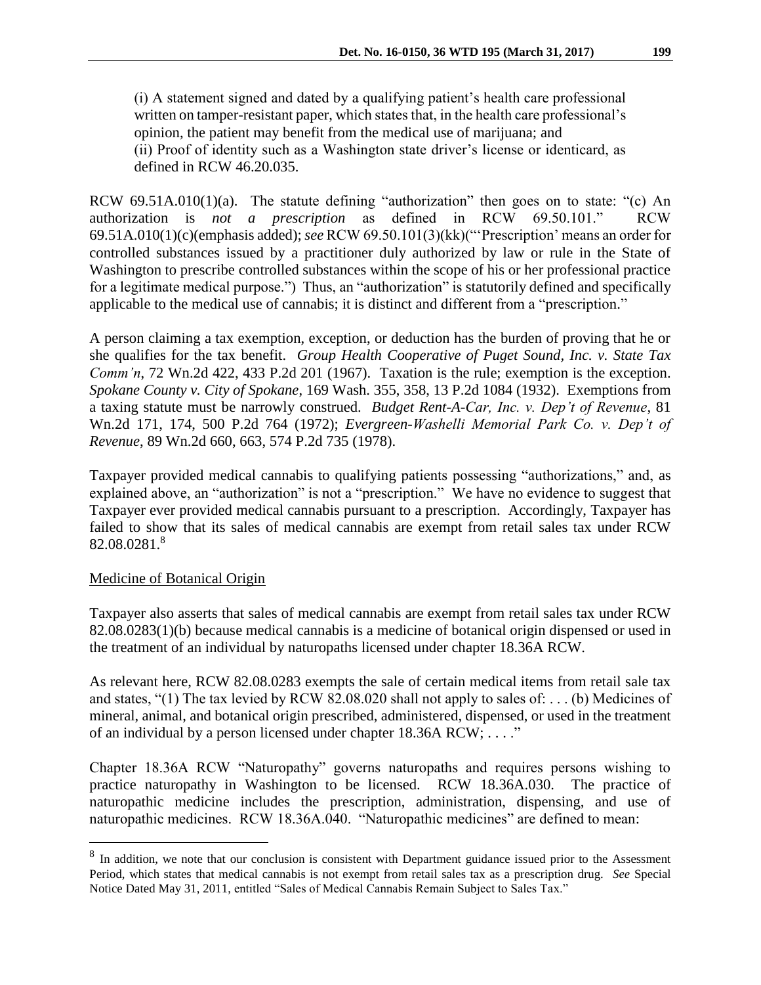(i) A statement signed and dated by a qualifying patient's health care professional written on tamper-resistant paper, which states that, in the health care professional's opinion, the patient may benefit from the medical use of marijuana; and (ii) Proof of identity such as a Washington state driver's license or identicard, as defined in RCW 46.20.035.

RCW 69.51A.010(1)(a). The statute defining "authorization" then goes on to state: "(c) An authorization is *not a prescription* as defined in RCW 69.50.101." RCW 69.51A.010(1)(c)(emphasis added); *see* RCW 69.50.101(3)(kk)("'Prescription' means an order for controlled substances issued by a practitioner duly authorized by law or rule in the State of Washington to prescribe controlled substances within the scope of his or her professional practice for a legitimate medical purpose.") Thus, an "authorization" is statutorily defined and specifically applicable to the medical use of cannabis; it is distinct and different from a "prescription."

A person claiming a tax exemption, exception, or deduction has the burden of proving that he or she qualifies for the tax benefit. *Group Health Cooperative of Puget Sound, Inc. v. State Tax Comm'n*, 72 Wn.2d 422, 433 P.2d 201 (1967). Taxation is the rule; exemption is the exception. *Spokane County v. City of Spokane*, 169 Wash. 355, 358, 13 P.2d 1084 (1932). Exemptions from a taxing statute must be narrowly construed. *Budget Rent-A-Car, Inc. v. Dep't of Revenue*, 81 Wn.2d 171, 174, 500 P.2d 764 (1972); *Evergreen-Washelli Memorial Park Co. v. Dep't of Revenue*, 89 Wn.2d 660, 663, 574 P.2d 735 (1978).

Taxpayer provided medical cannabis to qualifying patients possessing "authorizations," and, as explained above, an "authorization" is not a "prescription." We have no evidence to suggest that Taxpayer ever provided medical cannabis pursuant to a prescription. Accordingly, Taxpayer has failed to show that its sales of medical cannabis are exempt from retail sales tax under RCW 82.08.0281.<sup>8</sup>

## Medicine of Botanical Origin

 $\overline{a}$ 

Taxpayer also asserts that sales of medical cannabis are exempt from retail sales tax under RCW 82.08.0283(1)(b) because medical cannabis is a medicine of botanical origin dispensed or used in the treatment of an individual by naturopaths licensed under chapter 18.36A RCW.

As relevant here, RCW 82.08.0283 exempts the sale of certain medical items from retail sale tax and states, "(1) The tax levied by RCW 82.08.020 shall not apply to sales of: . . . (b) Medicines of mineral, animal, and botanical origin prescribed, administered, dispensed, or used in the treatment of an individual by a person licensed under chapter 18.36A RCW; . . . ."

Chapter 18.36A RCW "Naturopathy" governs naturopaths and requires persons wishing to practice naturopathy in Washington to be licensed. RCW 18.36A.030. The practice of naturopathic medicine includes the prescription, administration, dispensing, and use of naturopathic medicines. RCW 18.36A.040. "Naturopathic medicines" are defined to mean:

 $8\,$  In addition, we note that our conclusion is consistent with Department guidance issued prior to the Assessment Period, which states that medical cannabis is not exempt from retail sales tax as a prescription drug. *See* Special Notice Dated May 31, 2011, entitled "Sales of Medical Cannabis Remain Subject to Sales Tax."